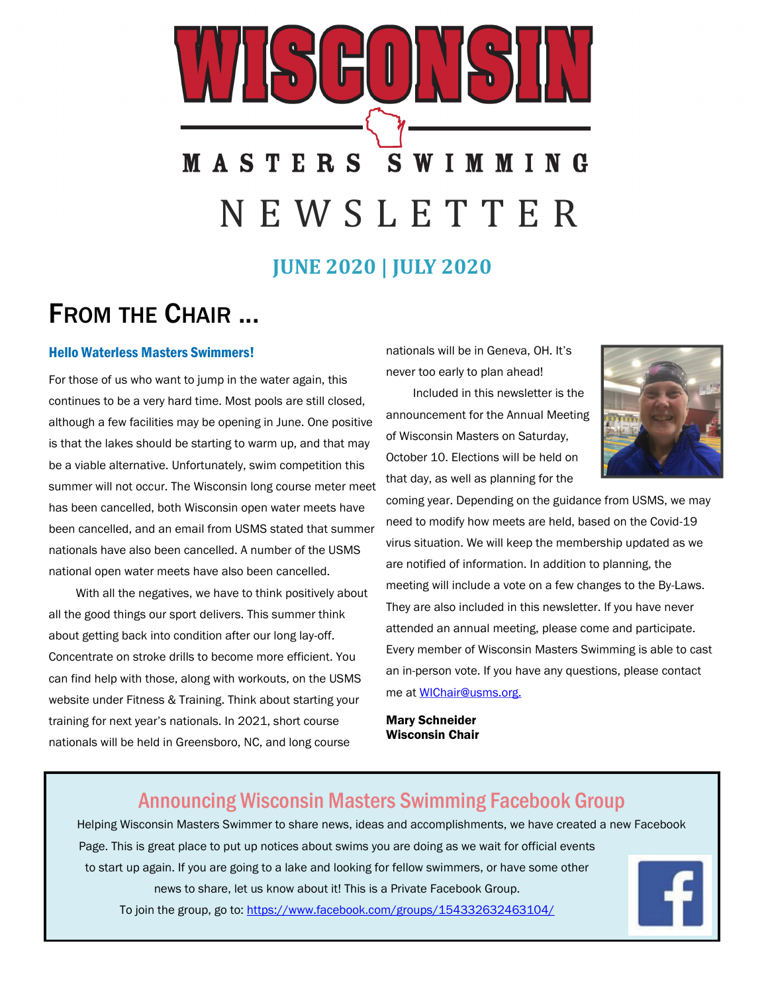# **MASTERS SWIMMING** N E W S L E T T E R

## **JUNE 2020 | JULY 2020**

# FROM THE CHAIR ...

#### Hello Waterless Masters Swimmers!

For those of us who want to jump in the water again, this continues to be a very hard time. Most pools are still closed, although a few facilities may be opening in June. One positive is that the lakes should be starting to warm up, and that may be a viable alternative. Unfortunately, swim competition this summer will not occur. The Wisconsin long course meter meet has been cancelled, both Wisconsin open water meets have been cancelled, and an email from USMS stated that summer nationals have also been cancelled. A number of the USMS national open water meets have also been cancelled.

With all the negatives, we have to think positively about all the good things our sport delivers. This summer think about getting back into condition after our long lay-off. Concentrate on stroke drills to become more efficient. You can find help with those, along with workouts, on the USMS website under Fitness & Training. Think about starting your training for next year's nationals. In 2021, short course nationals will be held in Greensboro, NC, and long course

nationals will be in Geneva, OH. It's never too early to plan ahead!

Included in this newsletter is the announcement for the Annual Meeting of Wisconsin Masters on Saturday, October 10. Elections will be held on that day, as well as planning for the



coming year. Depending on the guidance from USMS, we may need to modify how meets are held, based on the Covid-19 virus situation. We will keep the membership updated as we are notified of information. In addition to planning, the meeting will include a vote on a few changes to the By-Laws. They are also included in this newsletter. If you have never attended an annual meeting, please come and participate. Every member of Wisconsin Masters Swimming is able to cast an in-person vote. If you have any questions, please contact me at **[WIChair@usms.org.](mailto:WIChair@usms.org)** 

Mary Schneider Wisconsin Chair

## Announcing Wisconsin Masters Swimming Facebook Group

Helping Wisconsin Masters Swimmer to share news, ideas and accomplishments, we have created a new Facebook Page. This is great place to put up notices about swims you are doing as we wait for official events to start up again. If you are going to a lake and looking for fellow swimmers, or have some other news to share, let us know about it! This is a Private Facebook Group. To join the group, go to: <https://www.facebook.com/groups/154332632463104/>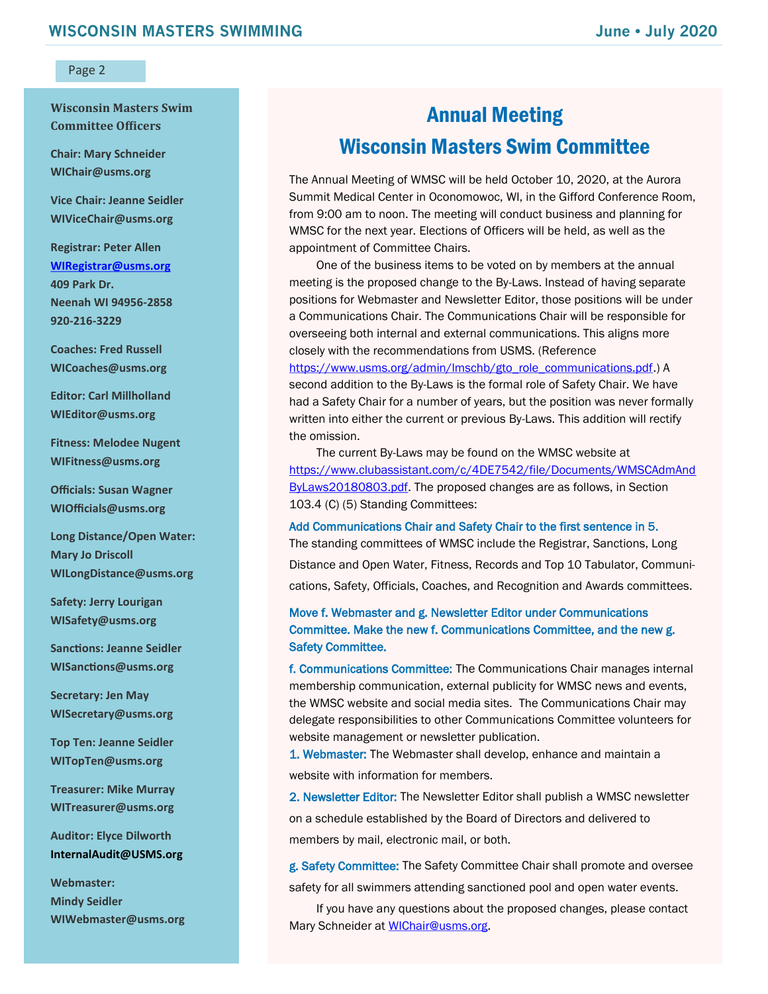**Wisconsin Masters Swim Committee Officers**

**Chair: Mary Schneider WIChair@usms.org**

**Vice Chair: Jeanne Seidler WIViceChair@usms.org**

**Registrar: Peter Allen [WIRegistrar@usms.org](mailto:WIRegistrar@usms.org) 409 Park Dr. Neenah WI 94956-2858 920-216-3229**

**Coaches: Fred Russell WICoaches@usms.org**

**Editor: Carl Millholland WIEditor@usms.org**

**Fitness: Melodee Nugent WIFitness@usms.org**

**Officials: Susan Wagner WIOfficials@usms.org**

**Long Distance/Open Water: Mary Jo Driscoll WILongDistance@usms.org**

**Safety: Jerry Lourigan WISafety@usms.org**

**Sanctions: Jeanne Seidler WISanctions@usms.org**

**Secretary: Jen May WISecretary@usms.org**

**Top Ten: Jeanne Seidler WITopTen@usms.org**

**Treasurer: Mike Murray WITreasurer@usms.org**

**Auditor: Elyce Dilworth [InternalAudit@USMS.org](mailto:InternalAudit@USMS.org)**

**Webmaster: Mindy Seidler WIWebmaster@usms.org**

# Annual Meeting Wisconsin Masters Swim Committee

The Annual Meeting of WMSC will be held October 10, 2020, at the Aurora Summit Medical Center in Oconomowoc, WI, in the Gifford Conference Room, from 9:00 am to noon. The meeting will conduct business and planning for WMSC for the next year. Elections of Officers will be held, as well as the appointment of Committee Chairs.

One of the business items to be voted on by members at the annual meeting is the proposed change to the By-Laws. Instead of having separate positions for Webmaster and Newsletter Editor, those positions will be under a Communications Chair. The Communications Chair will be responsible for overseeing both internal and external communications. This aligns more closely with the recommendations from USMS. (Reference

[https://www.usms.org/admin/lmschb/gto\\_role\\_communications.pdf.](https://www.usms.org/admin/lmschb/gto_role_communications.pdf)) A second addition to the By-Laws is the formal role of Safety Chair. We have had a Safety Chair for a number of years, but the position was never formally written into either the current or previous By-Laws. This addition will rectify the omission.

The current By-Laws may be found on the WMSC website at [https://www.clubassistant.com/c/4DE7542/file/Documents/WMSCAdmAnd](https://www.clubassistant.com/c/4DE7542/file/Documents/WMSCAdmAndByLaws20180803.pdf) [ByLaws20180803.pdf.](https://www.clubassistant.com/c/4DE7542/file/Documents/WMSCAdmAndByLaws20180803.pdf) The proposed changes are as follows, in Section 103.4 (C) (5) Standing Committees:

Add Communications Chair and Safety Chair to the first sentence in 5. The standing committees of WMSC include the Registrar, Sanctions, Long Distance and Open Water, Fitness, Records and Top 10 Tabulator, Communications, Safety, Officials, Coaches, and Recognition and Awards committees.

#### Move f. Webmaster and g. Newsletter Editor under Communications Committee. Make the new f. Communications Committee, and the new g. Safety Committee.

f. Communications Committee: The Communications Chair manages internal membership communication, external publicity for WMSC news and events, the WMSC website and social media sites. The Communications Chair may delegate responsibilities to other Communications Committee volunteers for website management or newsletter publication.

1. Webmaster: The Webmaster shall develop, enhance and maintain a website with information for members.

2. Newsletter Editor: The Newsletter Editor shall publish a WMSC newsletter on a schedule established by the Board of Directors and delivered to members by mail, electronic mail, or both.

g. Safety Committee: The Safety Committee Chair shall promote and oversee safety for all swimmers attending sanctioned pool and open water events.

If you have any questions about the proposed changes, please contact Mary Schneider at **WIChair@usms.org**.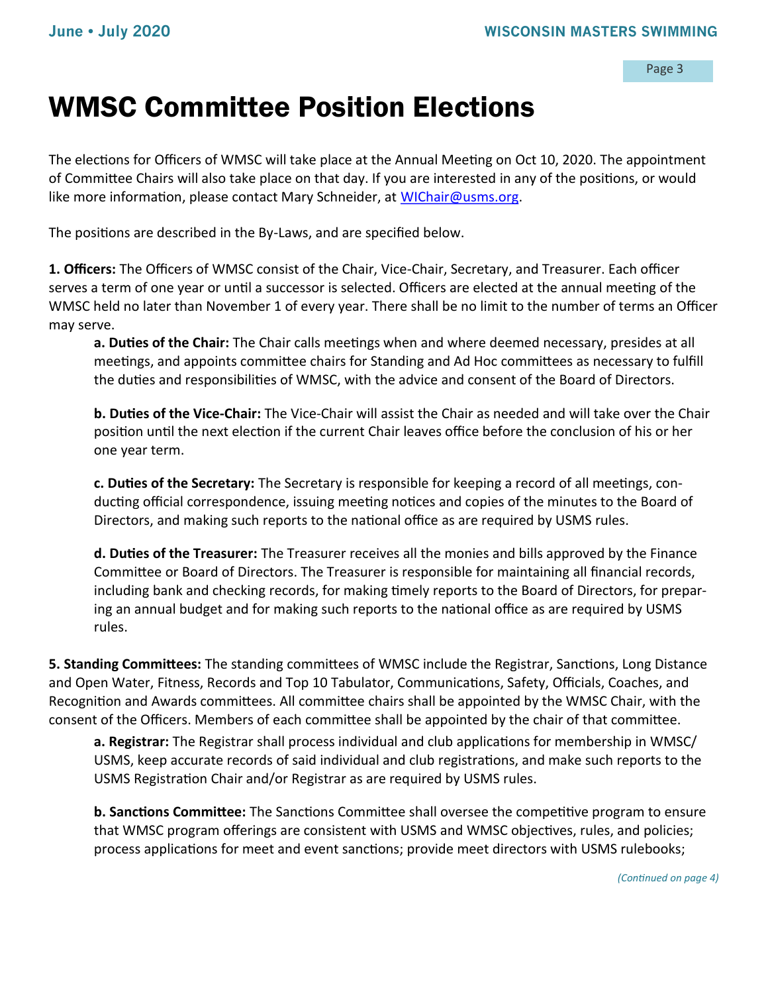# WMSC Committee Position Elections

The elections for Officers of WMSC will take place at the Annual Meeting on Oct 10, 2020. The appointment of Committee Chairs will also take place on that day. If you are interested in any of the positions, or would like more information, please contact Mary Schneider, at [WIChair@usms.org.](mailto:WIChair@usms.org)

The positions are described in the By-Laws, and are specified below.

**1. Officers:** The Officers of WMSC consist of the Chair, Vice-Chair, Secretary, and Treasurer. Each officer serves a term of one year or until a successor is selected. Officers are elected at the annual meeting of the WMSC held no later than November 1 of every year. There shall be no limit to the number of terms an Officer may serve.

**a. Duties of the Chair:** The Chair calls meetings when and where deemed necessary, presides at all meetings, and appoints committee chairs for Standing and Ad Hoc committees as necessary to fulfill the duties and responsibilities of WMSC, with the advice and consent of the Board of Directors.

**b. Duties of the Vice-Chair:** The Vice-Chair will assist the Chair as needed and will take over the Chair position until the next election if the current Chair leaves office before the conclusion of his or her one year term.

**c. Duties of the Secretary:** The Secretary is responsible for keeping a record of all meetings, conducting official correspondence, issuing meeting notices and copies of the minutes to the Board of Directors, and making such reports to the national office as are required by USMS rules.

**d. Duties of the Treasurer:** The Treasurer receives all the monies and bills approved by the Finance Committee or Board of Directors. The Treasurer is responsible for maintaining all financial records, including bank and checking records, for making timely reports to the Board of Directors, for preparing an annual budget and for making such reports to the national office as are required by USMS rules.

**5. Standing Committees:** The standing committees of WMSC include the Registrar, Sanctions, Long Distance and Open Water, Fitness, Records and Top 10 Tabulator, Communications, Safety, Officials, Coaches, and Recognition and Awards committees. All committee chairs shall be appointed by the WMSC Chair, with the consent of the Officers. Members of each committee shall be appointed by the chair of that committee.

**a. Registrar:** The Registrar shall process individual and club applications for membership in WMSC/ USMS, keep accurate records of said individual and club registrations, and make such reports to the USMS Registration Chair and/or Registrar as are required by USMS rules.

**b. Sanctions Committee:** The Sanctions Committee shall oversee the competitive program to ensure that WMSC program offerings are consistent with USMS and WMSC objectives, rules, and policies; process applications for meet and event sanctions; provide meet directors with USMS rulebooks;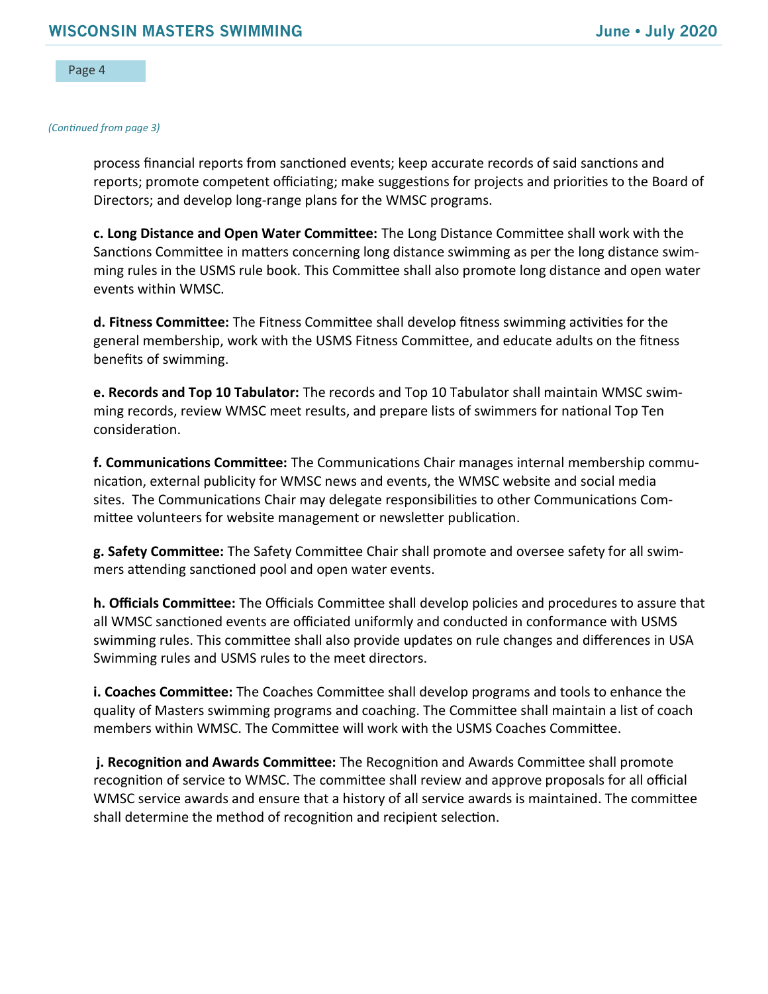*(Continued from page 3)*

process financial reports from sanctioned events; keep accurate records of said sanctions and reports; promote competent officiating; make suggestions for projects and priorities to the Board of Directors; and develop long-range plans for the WMSC programs.

**c. Long Distance and Open Water Committee:** The Long Distance Committee shall work with the Sanctions Committee in matters concerning long distance swimming as per the long distance swimming rules in the USMS rule book. This Committee shall also promote long distance and open water events within WMSC.

**d. Fitness Committee:** The Fitness Committee shall develop fitness swimming activities for the general membership, work with the USMS Fitness Committee, and educate adults on the fitness benefits of swimming.

**e. Records and Top 10 Tabulator:** The records and Top 10 Tabulator shall maintain WMSC swimming records, review WMSC meet results, and prepare lists of swimmers for national Top Ten consideration.

**f. Communications Committee:** The Communications Chair manages internal membership communication, external publicity for WMSC news and events, the WMSC website and social media sites. The Communications Chair may delegate responsibilities to other Communications Committee volunteers for website management or newsletter publication.

**g. Safety Committee:** The Safety Committee Chair shall promote and oversee safety for all swimmers attending sanctioned pool and open water events.

**h. Officials Committee:** The Officials Committee shall develop policies and procedures to assure that all WMSC sanctioned events are officiated uniformly and conducted in conformance with USMS swimming rules. This committee shall also provide updates on rule changes and differences in USA Swimming rules and USMS rules to the meet directors.

**i. Coaches Committee:** The Coaches Committee shall develop programs and tools to enhance the quality of Masters swimming programs and coaching. The Committee shall maintain a list of coach members within WMSC. The Committee will work with the USMS Coaches Committee.

**j. Recognition and Awards Committee:** The Recognition and Awards Committee shall promote recognition of service to WMSC. The committee shall review and approve proposals for all official WMSC service awards and ensure that a history of all service awards is maintained. The committee shall determine the method of recognition and recipient selection.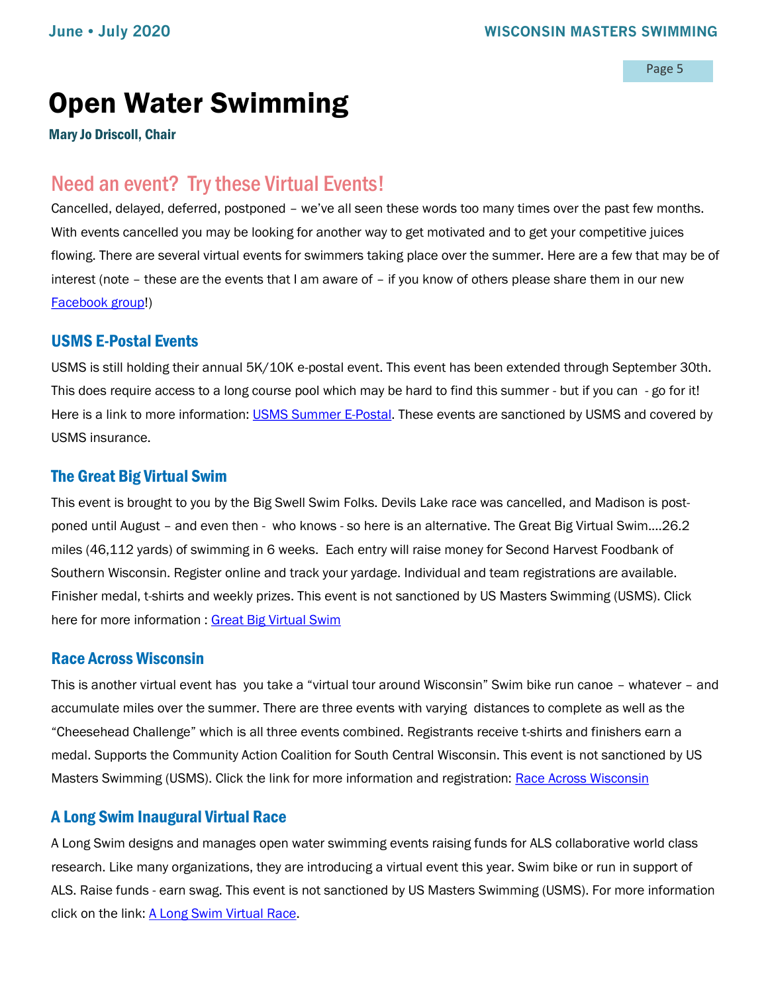# Open Water Swimming

#### Mary Jo Driscoll, Chair

## Need an event? Try these Virtual Events!

Cancelled, delayed, deferred, postponed – we've all seen these words too many times over the past few months. With events cancelled you may be looking for another way to get motivated and to get your competitive juices flowing. There are several virtual events for swimmers taking place over the summer. Here are a few that may be of interest (note – these are the events that I am aware of – if you know of others please share them in our new [Facebook group!](https://www.facebook.com/groups/154332632463104/))

#### USMS E-Postal Events

USMS is still holding their annual 5K/10K e-postal event. This event has been extended through September 30th. This does require access to a long course pool which may be hard to find this summer - but if you can - go for it! Here is a link to more information: [USMS Summer E-Postal.](https://www.usms.org/events/national-championships/epostal-national-championships/2020-epostal-national-championships) These events are sanctioned by USMS and covered by USMS insurance.

#### The Great Big Virtual Swim

This event is brought to you by the Big Swell Swim Folks. Devils Lake race was cancelled, and Madison is postponed until August – and even then - who knows - so here is an alternative. The Great Big Virtual Swim....26.2 miles (46,112 yards) of swimming in 6 weeks. Each entry will raise money for Second Harvest Foodbank of Southern Wisconsin. Register online and track your yardage. Individual and team registrations are available. Finisher medal, t-shirts and weekly prizes. This event is not sanctioned by US Masters Swimming (USMS). Click here for more information : [Great Big Virtual Swim](https://runsignup.com/Race/WI/Anywhere/TheGreatBigVirtualSwim)

#### Race Across Wisconsin

This is another virtual event has you take a "virtual tour around Wisconsin" Swim bike run canoe – whatever – and accumulate miles over the summer. There are three events with varying distances to complete as well as the "Cheesehead Challenge" which is all three events combined. Registrants receive t-shirts and finishers earn a medal. Supports the Community Action Coalition for South Central Wisconsin. This event is not sanctioned by US Masters Swimming (USMS). Click the link for more information and registration: [Race Across Wisconsin](https://raceacrosswisconsin.com/)

#### A Long Swim Inaugural Virtual Race

A Long Swim designs and manages open water swimming events raising funds for ALS collaborative world class research. Like many organizations, they are introducing a virtual event this year. Swim bike or run in support of ALS. Raise funds - earn swag. This event is not sanctioned by US Masters Swimming (USMS). For more information click on the link: [A Long Swim Virtual Race.](https://alongswim.org/event/a-long-swims-inaugural-virtual-race/)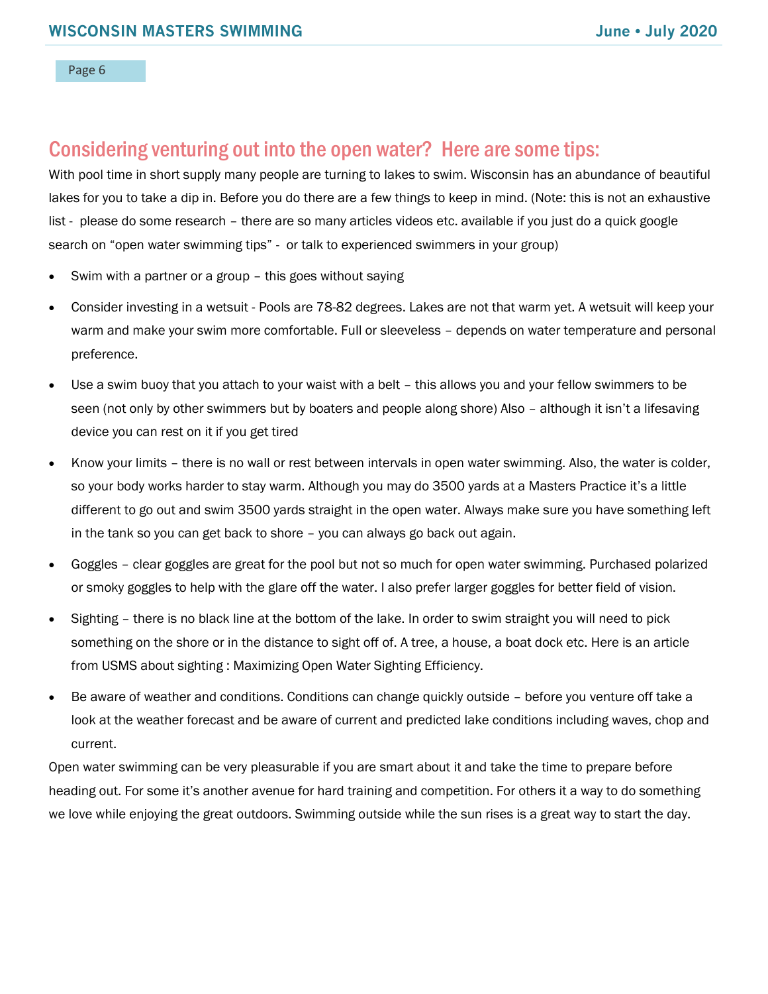## Considering venturing out into the open water? Here are some tips:

With pool time in short supply many people are turning to lakes to swim. Wisconsin has an abundance of beautiful lakes for you to take a dip in. Before you do there are a few things to keep in mind. (Note: this is not an exhaustive list - please do some research – there are so many articles videos etc. available if you just do a quick google search on "open water swimming tips" - or talk to experienced swimmers in your group)

- Swim with a partner or a group this goes without saying
- Consider investing in a wetsuit Pools are 78-82 degrees. Lakes are not that warm yet. A wetsuit will keep your warm and make your swim more comfortable. Full or sleeveless – depends on water temperature and personal preference.
- Use a swim buoy that you attach to your waist with a belt this allows you and your fellow swimmers to be seen (not only by other swimmers but by boaters and people along shore) Also – although it isn't a lifesaving device you can rest on it if you get tired
- Know your limits there is no wall or rest between intervals in open water swimming. Also, the water is colder, so your body works harder to stay warm. Although you may do 3500 yards at a Masters Practice it's a little different to go out and swim 3500 yards straight in the open water. Always make sure you have something left in the tank so you can get back to shore – you can always go back out again.
- Goggles clear goggles are great for the pool but not so much for open water swimming. Purchased polarized or smoky goggles to help with the glare off the water. I also prefer larger goggles for better field of vision.
- Sighting there is no black line at the bottom of the lake. In order to swim straight you will need to pick something on the shore or in the distance to sight off of. A tree, a house, a boat dock etc. Here is an article from USMS about sighting : Maximizing Open Water Sighting Efficiency.
- Be aware of weather and conditions. Conditions can change quickly outside before you venture off take a look at the weather forecast and be aware of current and predicted lake conditions including waves, chop and current.

Open water swimming can be very pleasurable if you are smart about it and take the time to prepare before heading out. For some it's another avenue for hard training and competition. For others it a way to do something we love while enjoying the great outdoors. Swimming outside while the sun rises is a great way to start the day.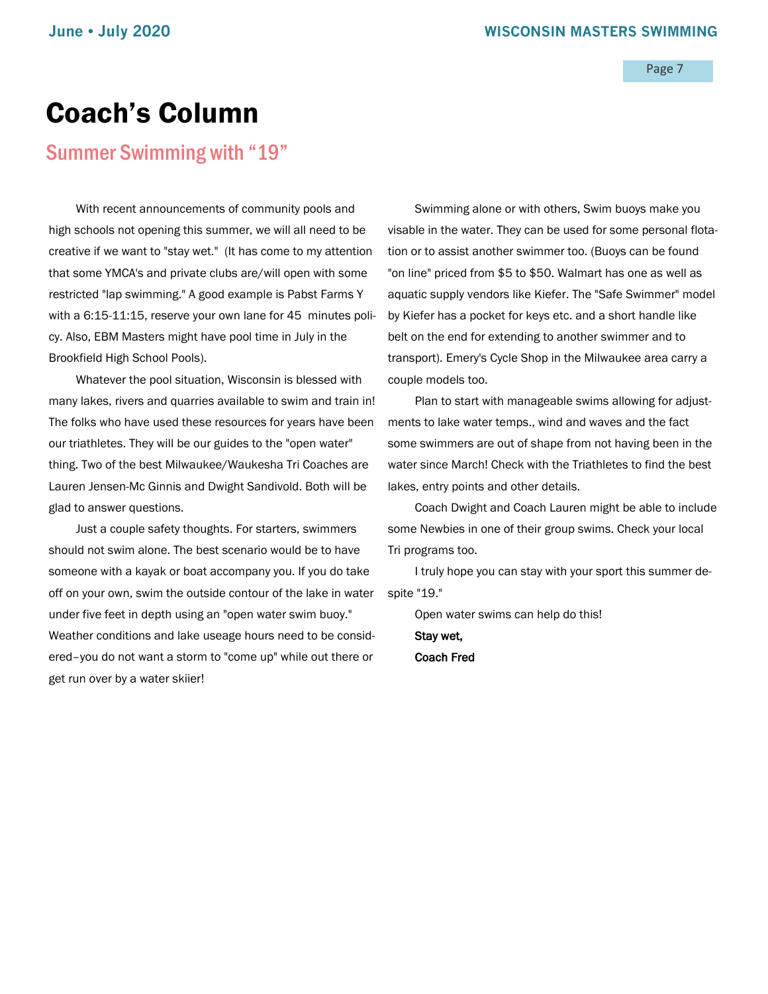# Coach's Column

Summer Swimming with "19"

With recent announcements of community pools and high schools not opening this summer, we will all need to be creative if we want to "stay wet." (It has come to my attention that some YMCA's and private clubs are/will open with some restricted "lap swimming." A good example is Pabst Farms Y with a 6:15-11:15, reserve your own lane for 45 minutes policy. Also, EBM Masters might have pool time in July in the Brookfield High School Pools).

Whatever the pool situation, Wisconsin is blessed with many lakes, rivers and quarries available to swim and train in! The folks who have used these resources for years have been our triathletes. They will be our guides to the "open water" thing. Two of the best Milwaukee/Waukesha Tri Coaches are Lauren Jensen-Mc Ginnis and Dwight Sandivold. Both will be glad to answer questions.

Just a couple safety thoughts. For starters, swimmers should not swim alone. The best scenario would be to have someone with a kayak or boat accompany you. If you do take off on your own, swim the outside contour of the lake in water under five feet in depth using an "open water swim buoy." Weather conditions and lake useage hours need to be considered–you do not want a storm to "come up" while out there or get run over by a water skiier!

Swimming alone or with others, Swim buoys make you visable in the water. They can be used for some personal flotation or to assist another swimmer too. (Buoys can be found "on line" priced from \$5 to \$50. Walmart has one as well as aquatic supply vendors like Kiefer. The "Safe Swimmer" model by Kiefer has a pocket for keys etc. and a short handle like belt on the end for extending to another swimmer and to transport). Emery's Cycle Shop in the Milwaukee area carry a couple models too.

Plan to start with manageable swims allowing for adjustments to lake water temps., wind and waves and the fact some swimmers are out of shape from not having been in the water since March! Check with the Triathletes to find the best lakes, entry points and other details.

Coach Dwight and Coach Lauren might be able to include some Newbies in one of their group swims. Check your local Tri programs too.

I truly hope you can stay with your sport this summer despite "19."

Open water swims can help do this!

Stay wet, Coach Fred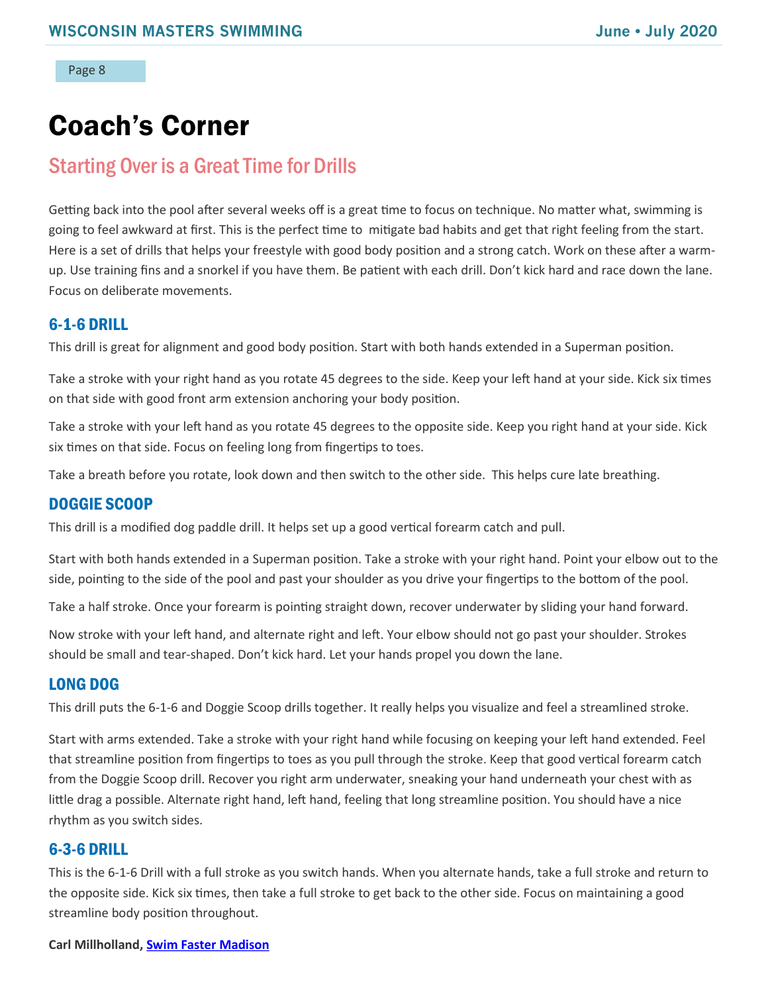# Coach's Corner

## Starting Over is a Great Time for Drills

Getting back into the pool after several weeks off is a great time to focus on technique. No matter what, swimming is going to feel awkward at first. This is the perfect time to mitigate bad habits and get that right feeling from the start. Here is a set of drills that helps your freestyle with good body position and a strong catch. Work on these after a warmup. Use training fins and a snorkel if you have them. Be patient with each drill. Don't kick hard and race down the lane. Focus on deliberate movements.

#### 6-1-6 DRILL

This drill is great for alignment and good body position. Start with both hands extended in a Superman position.

Take a stroke with your right hand as you rotate 45 degrees to the side. Keep your left hand at your side. Kick six times on that side with good front arm extension anchoring your body position.

Take a stroke with your left hand as you rotate 45 degrees to the opposite side. Keep you right hand at your side. Kick six times on that side. Focus on feeling long from fingertips to toes.

Take a breath before you rotate, look down and then switch to the other side. This helps cure late breathing.

#### DOGGIE SCOOP

This drill is a modified dog paddle drill. It helps set up a good vertical forearm catch and pull.

Start with both hands extended in a Superman position. Take a stroke with your right hand. Point your elbow out to the side, pointing to the side of the pool and past your shoulder as you drive your fingertips to the bottom of the pool.

Take a half stroke. Once your forearm is pointing straight down, recover underwater by sliding your hand forward.

Now stroke with your left hand, and alternate right and left. Your elbow should not go past your shoulder. Strokes should be small and tear-shaped. Don't kick hard. Let your hands propel you down the lane.

#### LONG DOG

This drill puts the 6-1-6 and Doggie Scoop drills together. It really helps you visualize and feel a streamlined stroke.

Start with arms extended. Take a stroke with your right hand while focusing on keeping your left hand extended. Feel that streamline position from fingertips to toes as you pull through the stroke. Keep that good vertical forearm catch from the Doggie Scoop drill. Recover you right arm underwater, sneaking your hand underneath your chest with as little drag a possible. Alternate right hand, left hand, feeling that long streamline position. You should have a nice rhythm as you switch sides.

#### 6-3-6 DRILL

This is the 6-1-6 Drill with a full stroke as you switch hands. When you alternate hands, take a full stroke and return to the opposite side. Kick six times, then take a full stroke to get back to the other side. Focus on maintaining a good streamline body position throughout.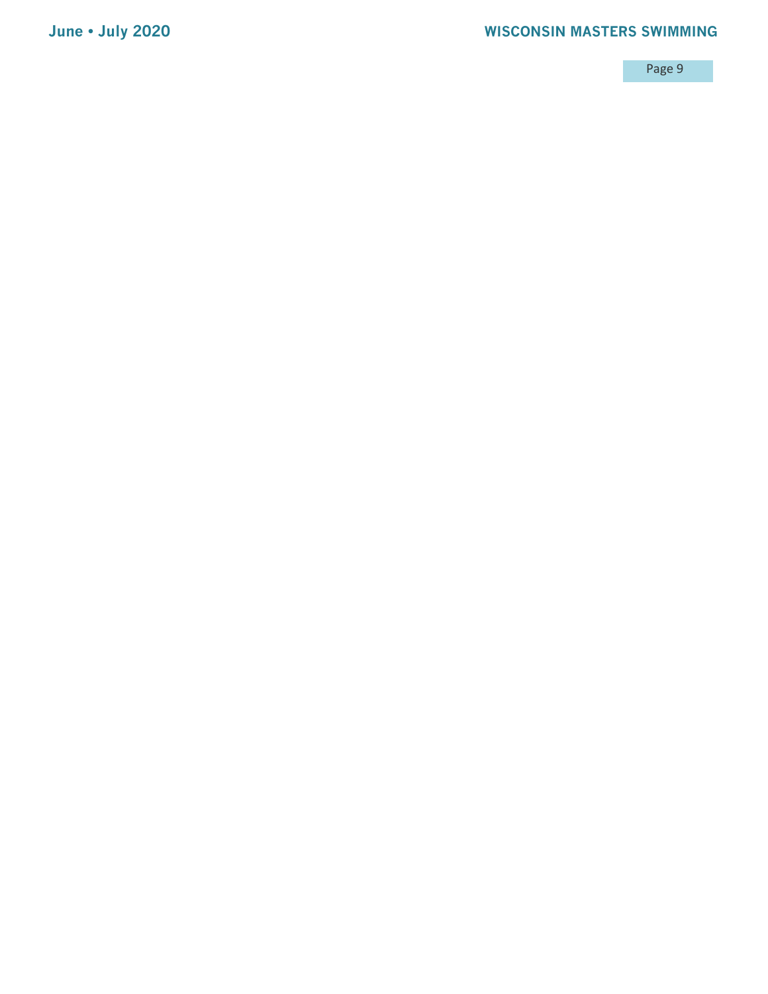## **June • July 2020 WISCONSIN MASTERS SWIMMING**

Page 9